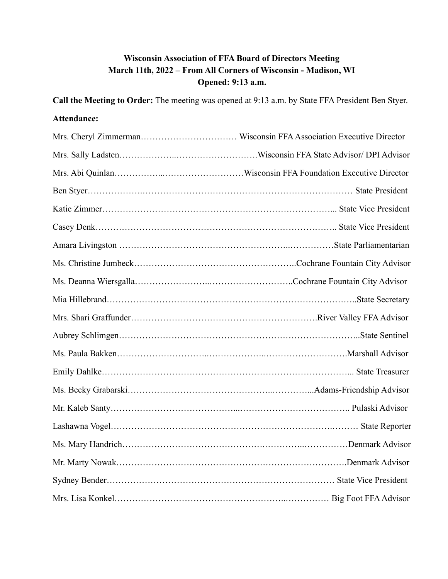# **Wisconsin Association of FFA Board of Directors Meeting March 11th, 2022 – From All Corners of Wisconsin - Madison, WI Opened: 9:13 a.m.**

**Call the Meeting to Order:** The meeting was opened at 9:13 a.m. by State FFA President Ben Styer.

# **Attendance:**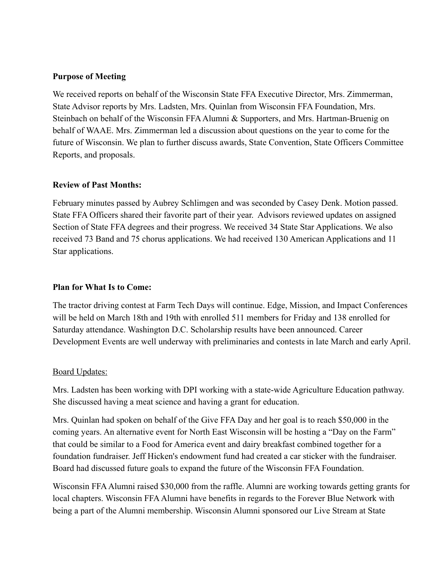#### **Purpose of Meeting**

We received reports on behalf of the Wisconsin State FFA Executive Director, Mrs. Zimmerman, State Advisor reports by Mrs. Ladsten, Mrs. Quinlan from Wisconsin FFA Foundation, Mrs. Steinbach on behalf of the Wisconsin FFAAlumni & Supporters, and Mrs. Hartman-Bruenig on behalf of WAAE. Mrs. Zimmerman led a discussion about questions on the year to come for the future of Wisconsin. We plan to further discuss awards, State Convention, State Officers Committee Reports, and proposals.

#### **Review of Past Months:**

February minutes passed by Aubrey Schlimgen and was seconded by Casey Denk. Motion passed. State FFA Officers shared their favorite part of their year. Advisors reviewed updates on assigned Section of State FFA degrees and their progress. We received 34 State Star Applications. We also received 73 Band and 75 chorus applications. We had received 130 American Applications and 11 Star applications.

#### **Plan for What Is to Come:**

The tractor driving contest at Farm Tech Days will continue. Edge, Mission, and Impact Conferences will be held on March 18th and 19th with enrolled 511 members for Friday and 138 enrolled for Saturday attendance. Washington D.C. Scholarship results have been announced. Career Development Events are well underway with preliminaries and contests in late March and early April.

#### Board Updates:

Mrs. Ladsten has been working with DPI working with a state-wide Agriculture Education pathway. She discussed having a meat science and having a grant for education.

Mrs. Quinlan had spoken on behalf of the Give FFA Day and her goal is to reach \$50,000 in the coming years. An alternative event for North East Wisconsin will be hosting a "Day on the Farm" that could be similar to a Food for America event and dairy breakfast combined together for a foundation fundraiser. Jeff Hicken's endowment fund had created a car sticker with the fundraiser. Board had discussed future goals to expand the future of the Wisconsin FFA Foundation.

Wisconsin FFAAlumni raised \$30,000 from the raffle. Alumni are working towards getting grants for local chapters. Wisconsin FFAAlumni have benefits in regards to the Forever Blue Network with being a part of the Alumni membership. Wisconsin Alumni sponsored our Live Stream at State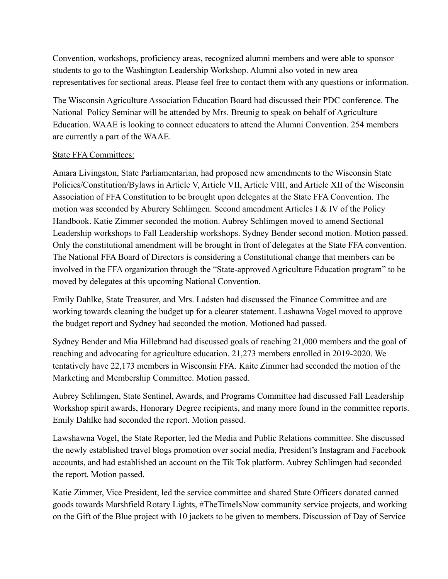Convention, workshops, proficiency areas, recognized alumni members and were able to sponsor students to go to the Washington Leadership Workshop. Alumni also voted in new area representatives for sectional areas. Please feel free to contact them with any questions or information.

The Wisconsin Agriculture Association Education Board had discussed their PDC conference. The National Policy Seminar will be attended by Mrs. Breunig to speak on behalf of Agriculture Education. WAAE is looking to connect educators to attend the Alumni Convention. 254 members are currently a part of the WAAE.

## State FFA Committees:

Amara Livingston, State Parliamentarian, had proposed new amendments to the Wisconsin State Policies/Constitution/Bylaws in Article V, Article VII, Article VIII, and Article XII of the Wisconsin Association of FFA Constitution to be brought upon delegates at the State FFA Convention. The motion was seconded by Aburery Schlimgen. Second amendment Articles I & IV of the Policy Handbook. Katie Zimmer seconded the motion. Aubrey Schlimgen moved to amend Sectional Leadership workshops to Fall Leadership workshops. Sydney Bender second motion. Motion passed. Only the constitutional amendment will be brought in front of delegates at the State FFA convention. The National FFA Board of Directors is considering a Constitutional change that members can be involved in the FFA organization through the "State-approved Agriculture Education program" to be moved by delegates at this upcoming National Convention.

Emily Dahlke, State Treasurer, and Mrs. Ladsten had discussed the Finance Committee and are working towards cleaning the budget up for a clearer statement. Lashawna Vogel moved to approve the budget report and Sydney had seconded the motion. Motioned had passed.

Sydney Bender and Mia Hillebrand had discussed goals of reaching 21,000 members and the goal of reaching and advocating for agriculture education. 21,273 members enrolled in 2019-2020. We tentatively have 22,173 members in Wisconsin FFA. Kaite Zimmer had seconded the motion of the Marketing and Membership Committee. Motion passed.

Aubrey Schlimgen, State Sentinel, Awards, and Programs Committee had discussed Fall Leadership Workshop spirit awards, Honorary Degree recipients, and many more found in the committee reports. Emily Dahlke had seconded the report. Motion passed.

Lawshawna Vogel, the State Reporter, led the Media and Public Relations committee. She discussed the newly established travel blogs promotion over social media, President's Instagram and Facebook accounts, and had established an account on the Tik Tok platform. Aubrey Schlimgen had seconded the report. Motion passed.

Katie Zimmer, Vice President, led the service committee and shared State Officers donated canned goods towards Marshfield Rotary Lights, #TheTimeIsNow community service projects, and working on the Gift of the Blue project with 10 jackets to be given to members. Discussion of Day of Service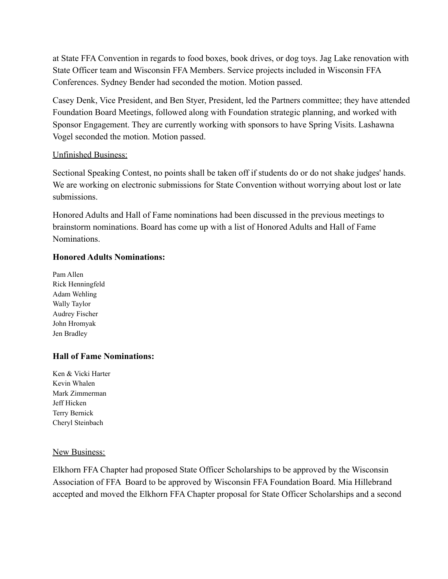at State FFA Convention in regards to food boxes, book drives, or dog toys. Jag Lake renovation with State Officer team and Wisconsin FFA Members. Service projects included in Wisconsin FFA Conferences. Sydney Bender had seconded the motion. Motion passed.

Casey Denk, Vice President, and Ben Styer, President, led the Partners committee; they have attended Foundation Board Meetings, followed along with Foundation strategic planning, and worked with Sponsor Engagement. They are currently working with sponsors to have Spring Visits. Lashawna Vogel seconded the motion. Motion passed.

#### Unfinished Business:

Sectional Speaking Contest, no points shall be taken off if students do or do not shake judges' hands. We are working on electronic submissions for State Convention without worrying about lost or late submissions.

Honored Adults and Hall of Fame nominations had been discussed in the previous meetings to brainstorm nominations. Board has come up with a list of Honored Adults and Hall of Fame Nominations.

#### **Honored Adults Nominations:**

Pam Allen Rick Henningfeld Adam Wehling Wally Taylor Audrey Fischer John Hromyak Jen Bradley

## **Hall of Fame Nominations:**

Ken & Vicki Harter Kevin Whalen Mark Zimmerman Jeff Hicken Terry Bernick Cheryl Steinbach

#### New Business:

Elkhorn FFA Chapter had proposed State Officer Scholarships to be approved by the Wisconsin Association of FFA Board to be approved by Wisconsin FFA Foundation Board. Mia Hillebrand accepted and moved the Elkhorn FFA Chapter proposal for State Officer Scholarships and a second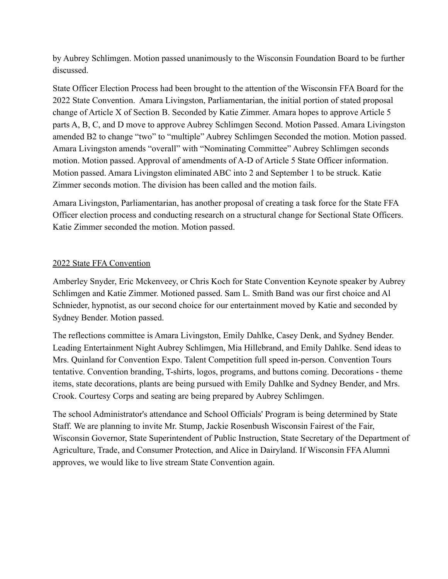by Aubrey Schlimgen. Motion passed unanimously to the Wisconsin Foundation Board to be further discussed.

State Officer Election Process had been brought to the attention of the Wisconsin FFA Board for the 2022 State Convention. Amara Livingston, Parliamentarian, the initial portion of stated proposal change of Article X of Section B. Seconded by Katie Zimmer. Amara hopes to approve Article 5 parts A, B, C, and D move to approve Aubrey Schlimgen Second. Motion Passed. Amara Livingston amended B2 to change "two" to "multiple" Aubrey Schlimgen Seconded the motion. Motion passed. Amara Livingston amends "overall" with "Nominating Committee" Aubrey Schlimgen seconds motion. Motion passed. Approval of amendments of A-D of Article 5 State Officer information. Motion passed. Amara Livingston eliminated ABC into 2 and September 1 to be struck. Katie Zimmer seconds motion. The division has been called and the motion fails.

Amara Livingston, Parliamentarian, has another proposal of creating a task force for the State FFA Officer election process and conducting research on a structural change for Sectional State Officers. Katie Zimmer seconded the motion. Motion passed.

## 2022 State FFA Convention

Amberley Snyder, Eric Mckenveey, or Chris Koch for State Convention Keynote speaker by Aubrey Schlimgen and Katie Zimmer. Motioned passed. Sam L. Smith Band was our first choice and Al Schnieder, hypnotist, as our second choice for our entertainment moved by Katie and seconded by Sydney Bender. Motion passed.

The reflections committee is Amara Livingston, Emily Dahlke, Casey Denk, and Sydney Bender. Leading Entertainment Night Aubrey Schlimgen, Mia Hillebrand, and Emily Dahlke. Send ideas to Mrs. Quinland for Convention Expo. Talent Competition full speed in-person. Convention Tours tentative. Convention branding, T-shirts, logos, programs, and buttons coming. Decorations - theme items, state decorations, plants are being pursued with Emily Dahlke and Sydney Bender, and Mrs. Crook. Courtesy Corps and seating are being prepared by Aubrey Schlimgen.

The school Administrator's attendance and School Officials' Program is being determined by State Staff. We are planning to invite Mr. Stump, Jackie Rosenbush Wisconsin Fairest of the Fair, Wisconsin Governor, State Superintendent of Public Instruction, State Secretary of the Department of Agriculture, Trade, and Consumer Protection, and Alice in Dairyland. If Wisconsin FFAAlumni approves, we would like to live stream State Convention again.